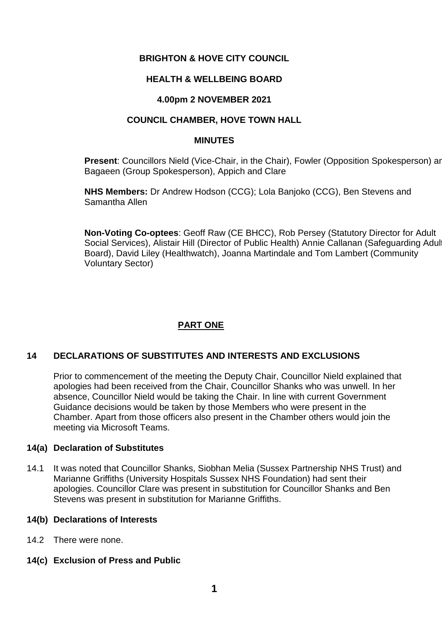## **BRIGHTON & HOVE CITY COUNCIL**

## **HEALTH & WELLBEING BOARD**

## **4.00pm 2 NOVEMBER 2021**

## **COUNCIL CHAMBER, HOVE TOWN HALL**

#### **MINUTES**

**Present:** Councillors Nield (Vice-Chair, in the Chair), Fowler (Opposition Spokesperson) and Bagaeen (Group Spokesperson), Appich and Clare

**NHS Members:** Dr Andrew Hodson (CCG); Lola Banjoko (CCG), Ben Stevens and Samantha Allen

**Non-Voting Co-optees**: Geoff Raw (CE BHCC), Rob Persey (Statutory Director for Adult Social Services), Alistair Hill (Director of Public Health) Annie Callanan (Safeguarding Adul Board), David Liley (Healthwatch), Joanna Martindale and Tom Lambert (Community Voluntary Sector)

# **PART ONE**

# **14 DECLARATIONS OF SUBSTITUTES AND INTERESTS AND EXCLUSIONS**

Prior to commencement of the meeting the Deputy Chair, Councillor Nield explained that apologies had been received from the Chair, Councillor Shanks who was unwell. In her absence, Councillor Nield would be taking the Chair. In line with current Government Guidance decisions would be taken by those Members who were present in the Chamber. Apart from those officers also present in the Chamber others would join the meeting via Microsoft Teams.

## **14(a) Declaration of Substitutes**

14.1 It was noted that Councillor Shanks, Siobhan Melia (Sussex Partnership NHS Trust) and Marianne Griffiths (University Hospitals Sussex NHS Foundation) had sent their apologies. Councillor Clare was present in substitution for Councillor Shanks and Ben Stevens was present in substitution for Marianne Griffiths.

## **14(b) Declarations of Interests**

- 14.2 There were none.
- **14(c) Exclusion of Press and Public**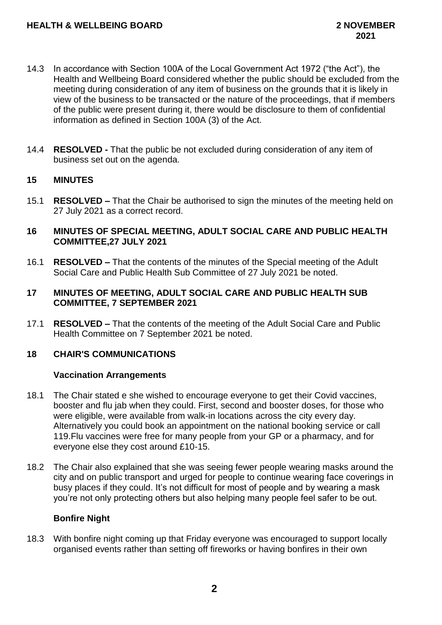- 14.3 In accordance with Section 100A of the Local Government Act 1972 ("the Act"), the Health and Wellbeing Board considered whether the public should be excluded from the meeting during consideration of any item of business on the grounds that it is likely in view of the business to be transacted or the nature of the proceedings, that if members of the public were present during it, there would be disclosure to them of confidential information as defined in Section 100A (3) of the Act.
- 14.4 **RESOLVED -** That the public be not excluded during consideration of any item of business set out on the agenda.

## **15 MINUTES**

15.1 **RESOLVED –** That the Chair be authorised to sign the minutes of the meeting held on 27 July 2021 as a correct record.

## **16 MINUTES OF SPECIAL MEETING, ADULT SOCIAL CARE AND PUBLIC HEALTH COMMITTEE,27 JULY 2021**

16.1 **RESOLVED –** That the contents of the minutes of the Special meeting of the Adult Social Care and Public Health Sub Committee of 27 July 2021 be noted.

#### **17 MINUTES OF MEETING, ADULT SOCIAL CARE AND PUBLIC HEALTH SUB COMMITTEE, 7 SEPTEMBER 2021**

17.1 **RESOLVED –** That the contents of the meeting of the Adult Social Care and Public Health Committee on 7 September 2021 be noted.

## **18 CHAIR'S COMMUNICATIONS**

#### **Vaccination Arrangements**

- 18.1 The Chair stated e she wished to encourage everyone to get their Covid vaccines, booster and flu jab when they could. First, second and booster doses, for those who were eligible, were available from walk-in locations across the city every day. Alternatively you could book an appointment on the national booking service or call 119.Flu vaccines were free for many people from your GP or a pharmacy, and for everyone else they cost around £10-15.
- 18.2 The Chair also explained that she was seeing fewer people wearing masks around the city and on public transport and urged for people to continue wearing face coverings in busy places if they could. It's not difficult for most of people and by wearing a mask you're not only protecting others but also helping many people feel safer to be out.

## **Bonfire Night**

18.3 With bonfire night coming up that Friday everyone was encouraged to support locally organised events rather than setting off fireworks or having bonfires in their own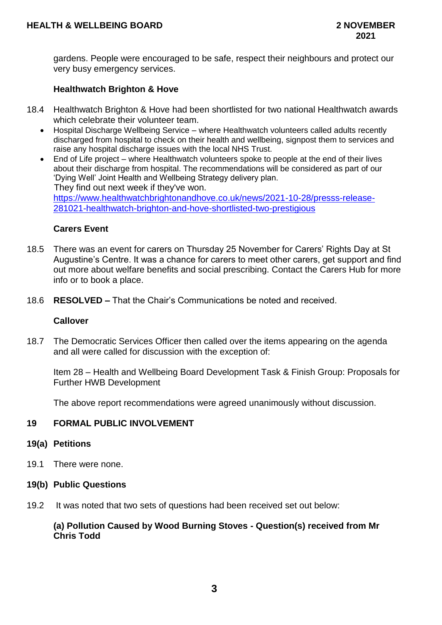gardens. People were encouraged to be safe, respect their neighbours and protect our very busy emergency services.

## **Healthwatch Brighton & Hove**

- 18.4 Healthwatch Brighton & Hove had been shortlisted for two national Healthwatch awards which celebrate their volunteer team.
	- Hospital Discharge Wellbeing Service where Healthwatch volunteers called adults recently discharged from hospital to check on their health and wellbeing, signpost them to services and raise any hospital discharge issues with the local NHS Trust.
	- End of Life project where Healthwatch volunteers spoke to people at the end of their lives about their discharge from hospital. The recommendations will be considered as part of our 'Dying Well' Joint Health and Wellbeing Strategy delivery plan. They find out next week if they've won. [https://www.healthwatchbrightonandhove.co.uk/news/2021-10-28/presss-release-](https://www.healthwatchbrightonandhove.co.uk/news/2021-10-28/presss-release-%20%20%20%20%20%20%20%20%20281021-healthwatch-brighton-and-hove-shortlisted-two-prestigious)[281021-healthwatch-brighton-and-hove-shortlisted-two-prestigious](https://www.healthwatchbrightonandhove.co.uk/news/2021-10-28/presss-release-%20%20%20%20%20%20%20%20%20281021-healthwatch-brighton-and-hove-shortlisted-two-prestigious)

#### **Carers Event**

- 18.5 There was an event for carers on Thursday 25 November for Carers' Rights Day at St Augustine's Centre. It was a chance for carers to meet other carers, get support and find out more about welfare benefits and social prescribing. Contact the Carers Hub for more info or to book a place.
- 18.6 **RESOLVED –** That the Chair's Communications be noted and received.

#### **Callover**

18.7 The Democratic Services Officer then called over the items appearing on the agenda and all were called for discussion with the exception of:

Item 28 – Health and Wellbeing Board Development Task & Finish Group: Proposals for Further HWB Development

The above report recommendations were agreed unanimously without discussion.

## **19 FORMAL PUBLIC INVOLVEMENT**

#### **19(a) Petitions**

19.1 There were none.

#### **19(b) Public Questions**

19.2 It was noted that two sets of questions had been received set out below:

## **(a) Pollution Caused by Wood Burning Stoves - Question(s) received from Mr Chris Todd**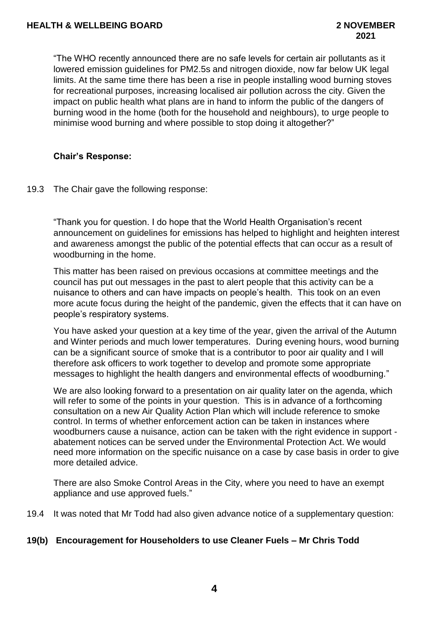"The WHO recently announced there are no safe levels for certain air pollutants as it lowered emission guidelines for PM2.5s and nitrogen dioxide, now far below UK legal limits. At the same time there has been a rise in people installing wood burning stoves for recreational purposes, increasing localised air pollution across the city. Given the impact on public health what plans are in hand to inform the public of the dangers of burning wood in the home (both for the household and neighbours), to urge people to minimise wood burning and where possible to stop doing it altogether?"

## **Chair's Response:**

19.3 The Chair gave the following response:

"Thank you for question. I do hope that the World Health Organisation's recent announcement on guidelines for emissions has helped to highlight and heighten interest and awareness amongst the public of the potential effects that can occur as a result of woodburning in the home.

This matter has been raised on previous occasions at committee meetings and the council has put out messages in the past to alert people that this activity can be a nuisance to others and can have impacts on people's health. This took on an even more acute focus during the height of the pandemic, given the effects that it can have on people's respiratory systems.

You have asked your question at a key time of the year, given the arrival of the Autumn and Winter periods and much lower temperatures. During evening hours, wood burning can be a significant source of smoke that is a contributor to poor air quality and I will therefore ask officers to work together to develop and promote some appropriate messages to highlight the health dangers and environmental effects of woodburning."

We are also looking forward to a presentation on air quality later on the agenda, which will refer to some of the points in your question. This is in advance of a forthcoming consultation on a new Air Quality Action Plan which will include reference to smoke control. In terms of whether enforcement action can be taken in instances where woodburners cause a nuisance, action can be taken with the right evidence in support abatement notices can be served under the Environmental Protection Act. We would need more information on the specific nuisance on a case by case basis in order to give more detailed advice.

There are also Smoke Control Areas in the City, where you need to have an exempt appliance and use approved fuels."

19.4 It was noted that Mr Todd had also given advance notice of a supplementary question:

## **19(b) Encouragement for Householders to use Cleaner Fuels – Mr Chris Todd**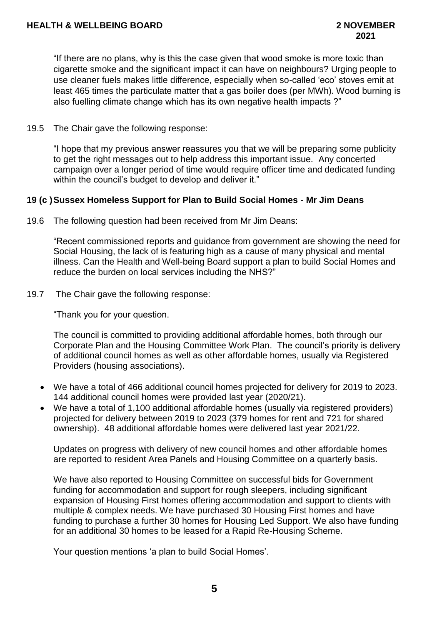"If there are no plans, why is this the case given that wood smoke is more toxic than cigarette smoke and the significant impact it can have on neighbours? Urging people to use cleaner fuels makes little difference, especially when so-called 'eco' stoves emit at least 465 times the particulate matter that a gas boiler does (per MWh). Wood burning is also fuelling climate change which has its own negative health impacts ?"

19.5 The Chair gave the following response:

"I hope that my previous answer reassures you that we will be preparing some publicity to get the right messages out to help address this important issue. Any concerted campaign over a longer period of time would require officer time and dedicated funding within the council's budget to develop and deliver it."

## **19 (c )Sussex Homeless Support for Plan to Build Social Homes - Mr Jim Deans**

19.6 The following question had been received from Mr Jim Deans:

"Recent commissioned reports and guidance from government are showing the need for Social Housing, the lack of is featuring high as a cause of many physical and mental illness. Can the Health and Well-being Board support a plan to build Social Homes and reduce the burden on local services including the NHS?"

19.7 The Chair gave the following response:

"Thank you for your question.

The council is committed to providing additional affordable homes, both through our Corporate Plan and the Housing Committee Work Plan. The council's priority is delivery of additional council homes as well as other affordable homes, usually via Registered Providers (housing associations).

- We have a total of 466 additional council homes projected for delivery for 2019 to 2023. 144 additional council homes were provided last year (2020/21).
- We have a total of 1,100 additional affordable homes (usually via registered providers) projected for delivery between 2019 to 2023 (379 homes for rent and 721 for shared ownership). 48 additional affordable homes were delivered last year 2021/22.

Updates on progress with delivery of new council homes and other affordable homes are reported to resident Area Panels and Housing Committee on a quarterly basis.

We have also reported to Housing Committee on successful bids for Government funding for accommodation and support for rough sleepers, including significant expansion of Housing First homes offering accommodation and support to clients with multiple & complex needs. We have purchased 30 Housing First homes and have funding to purchase a further 30 homes for Housing Led Support. We also have funding for an additional 30 homes to be leased for a Rapid Re-Housing Scheme.

Your question mentions 'a plan to build Social Homes'.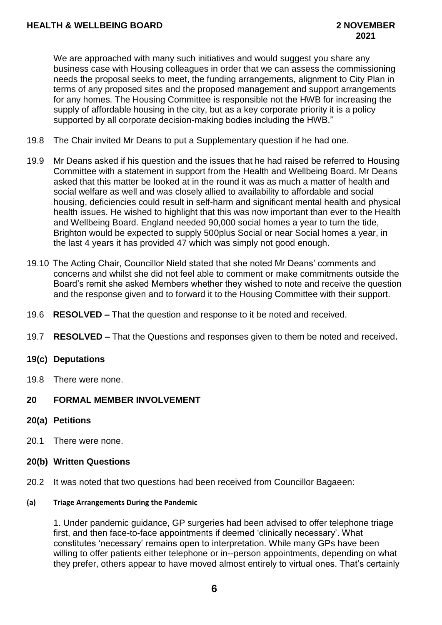We are approached with many such initiatives and would suggest you share any business case with Housing colleagues in order that we can assess the commissioning needs the proposal seeks to meet, the funding arrangements, alignment to City Plan in terms of any proposed sites and the proposed management and support arrangements for any homes. The Housing Committee is responsible not the HWB for increasing the supply of affordable housing in the city, but as a key corporate priority it is a policy supported by all corporate decision-making bodies including the HWB."

- 19.8 The Chair invited Mr Deans to put a Supplementary question if he had one.
- 19.9 Mr Deans asked if his question and the issues that he had raised be referred to Housing Committee with a statement in support from the Health and Wellbeing Board. Mr Deans asked that this matter be looked at in the round it was as much a matter of health and social welfare as well and was closely allied to availability to affordable and social housing, deficiencies could result in self-harm and significant mental health and physical health issues. He wished to highlight that this was now important than ever to the Health and Wellbeing Board. England needed 90,000 social homes a year to turn the tide, Brighton would be expected to supply 500plus Social or near Social homes a year, in the last 4 years it has provided 47 which was simply not good enough.
- 19.10 The Acting Chair, Councillor Nield stated that she noted Mr Deans' comments and concerns and whilst she did not feel able to comment or make commitments outside the Board's remit she asked Members whether they wished to note and receive the question and the response given and to forward it to the Housing Committee with their support.
- 19.6 **RESOLVED –** That the question and response to it be noted and received.
- 19.7 **RESOLVED –** That the Questions and responses given to them be noted and received.

## **19(c) Deputations**

19.8 There were none.

## **20 FORMAL MEMBER INVOLVEMENT**

- **20(a) Petitions**
- 20.1 There were none.
- **20(b) Written Questions**
- 20.2 It was noted that two questions had been received from Councillor Bagaeen:

#### **(a) Triage Arrangements During the Pandemic**

1. Under pandemic guidance, GP surgeries had been advised to offer telephone triage first, and then face-to-face appointments if deemed 'clinically necessary'. What constitutes 'necessary' remains open to interpretation. While many GPs have been willing to offer patients either telephone or in--person appointments, depending on what they prefer, others appear to have moved almost entirely to virtual ones. That's certainly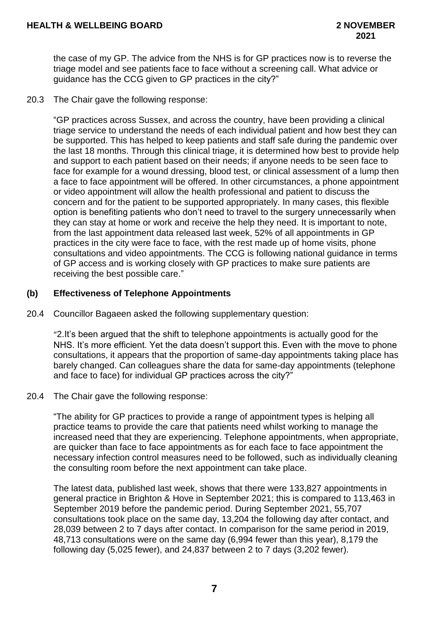the case of my GP. The advice from the NHS is for GP practices now is to reverse the triage model and see patients face to face without a screening call. What advice or guidance has the CCG given to GP practices in the city?"

20.3 The Chair gave the following response:

"GP practices across Sussex, and across the country, have been providing a clinical triage service to understand the needs of each individual patient and how best they can be supported. This has helped to keep patients and staff safe during the pandemic over the last 18 months. Through this clinical triage, it is determined how best to provide help and support to each patient based on their needs; if anyone needs to be seen face to face for example for a wound dressing, blood test, or clinical assessment of a lump then a face to face appointment will be offered. In other circumstances, a phone appointment or video appointment will allow the health professional and patient to discuss the concern and for the patient to be supported appropriately. In many cases, this flexible option is benefiting patients who don't need to travel to the surgery unnecessarily when they can stay at home or work and receive the help they need. It is important to note, from the last appointment data released last week, 52% of all appointments in GP practices in the city were face to face, with the rest made up of home visits, phone consultations and video appointments. The CCG is following national guidance in terms of GP access and is working closely with GP practices to make sure patients are receiving the best possible care."

## **(b) Effectiveness of Telephone Appointments**

20.4 Councillor Bagaeen asked the following supplementary question:

"2.It's been argued that the shift to telephone appointments is actually good for the NHS. It's more efficient. Yet the data doesn't support this. Even with the move to phone consultations, it appears that the proportion of same-day appointments taking place has barely changed. Can colleagues share the data for same-day appointments (telephone and face to face) for individual GP practices across the city?"

20.4 The Chair gave the following response:

"The ability for GP practices to provide a range of appointment types is helping all practice teams to provide the care that patients need whilst working to manage the increased need that they are experiencing. Telephone appointments, when appropriate, are quicker than face to face appointments as for each face to face appointment the necessary infection control measures need to be followed, such as individually cleaning the consulting room before the next appointment can take place.

The latest data, published last week, shows that there were 133,827 appointments in general practice in Brighton & Hove in September 2021; this is compared to 113,463 in September 2019 before the pandemic period. During September 2021, 55,707 consultations took place on the same day, 13,204 the following day after contact, and 28,039 between 2 to 7 days after contact. In comparison for the same period in 2019, 48,713 consultations were on the same day (6,994 fewer than this year), 8,179 the following day (5,025 fewer), and 24,837 between 2 to 7 days (3,202 fewer).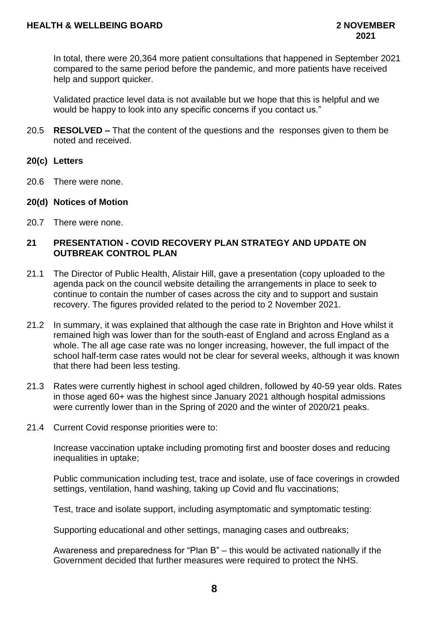In total, there were 20,364 more patient consultations that happened in September 2021 compared to the same period before the pandemic, and more patients have received help and support quicker.

Validated practice level data is not available but we hope that this is helpful and we would be happy to look into any specific concerns if you contact us."

- 20.5 **RESOLVED –** That the content of the questions and the responses given to them be noted and received.
- **20(c) Letters**
- 20.6 There were none.
- **20(d) Notices of Motion**
- 20.7 There were none.

## **21 PRESENTATION - COVID RECOVERY PLAN STRATEGY AND UPDATE ON OUTBREAK CONTROL PLAN**

- 21.1 The Director of Public Health, Alistair Hill, gave a presentation (copy uploaded to the agenda pack on the council website detailing the arrangements in place to seek to continue to contain the number of cases across the city and to support and sustain recovery. The figures provided related to the period to 2 November 2021.
- 21.2 In summary, it was explained that although the case rate in Brighton and Hove whilst it remained high was lower than for the south-east of England and across England as a whole. The all age case rate was no longer increasing, however, the full impact of the school half-term case rates would not be clear for several weeks, although it was known that there had been less testing.
- 21.3 Rates were currently highest in school aged children, followed by 40-59 year olds. Rates in those aged 60+ was the highest since January 2021 although hospital admissions were currently lower than in the Spring of 2020 and the winter of 2020/21 peaks.
- 21.4 Current Covid response priorities were to:

Increase vaccination uptake including promoting first and booster doses and reducing inequalities in uptake;

Public communication including test, trace and isolate, use of face coverings in crowded settings, ventilation, hand washing, taking up Covid and flu vaccinations;

Test, trace and isolate support, including asymptomatic and symptomatic testing:

Supporting educational and other settings, managing cases and outbreaks;

Awareness and preparedness for "Plan B" – this would be activated nationally if the Government decided that further measures were required to protect the NHS.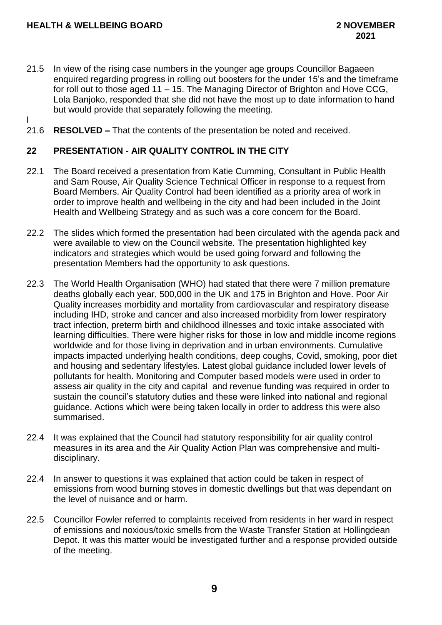- 21.5 In view of the rising case numbers in the younger age groups Councillor Bagaeen enquired regarding progress in rolling out boosters for the under 15's and the timeframe for roll out to those aged 11 – 15. The Managing Director of Brighton and Hove CCG, Lola Banjoko, responded that she did not have the most up to date information to hand but would provide that separately following the meeting.
- l
- 21.6 **RESOLVED –** That the contents of the presentation be noted and received.

## **22 PRESENTATION - AIR QUALITY CONTROL IN THE CITY**

- 22.1 The Board received a presentation from Katie Cumming, Consultant in Public Health and Sam Rouse, Air Quality Science Technical Officer in response to a request from Board Members. Air Quality Control had been identified as a priority area of work in order to improve health and wellbeing in the city and had been included in the Joint Health and Wellbeing Strategy and as such was a core concern for the Board.
- 22.2 The slides which formed the presentation had been circulated with the agenda pack and were available to view on the Council website. The presentation highlighted key indicators and strategies which would be used going forward and following the presentation Members had the opportunity to ask questions.
- 22.3 The World Health Organisation (WHO) had stated that there were 7 million premature deaths globally each year, 500,000 in the UK and 175 in Brighton and Hove. Poor Air Quality increases morbidity and mortality from cardiovascular and respiratory disease including IHD, stroke and cancer and also increased morbidity from lower respiratory tract infection, preterm birth and childhood illnesses and toxic intake associated with learning difficulties. There were higher risks for those in low and middle income regions worldwide and for those living in deprivation and in urban environments. Cumulative impacts impacted underlying health conditions, deep coughs, Covid, smoking, poor diet and housing and sedentary lifestyles. Latest global guidance included lower levels of pollutants for health. Monitoring and Computer based models were used in order to assess air quality in the city and capital and revenue funding was required in order to sustain the council's statutory duties and these were linked into national and regional guidance. Actions which were being taken locally in order to address this were also summarised.
- 22.4 It was explained that the Council had statutory responsibility for air quality control measures in its area and the Air Quality Action Plan was comprehensive and multidisciplinary.
- 22.4 In answer to questions it was explained that action could be taken in respect of emissions from wood burning stoves in domestic dwellings but that was dependant on the level of nuisance and or harm.
- 22.5 Councillor Fowler referred to complaints received from residents in her ward in respect of emissions and noxious/toxic smells from the Waste Transfer Station at Hollingdean Depot. It was this matter would be investigated further and a response provided outside of the meeting.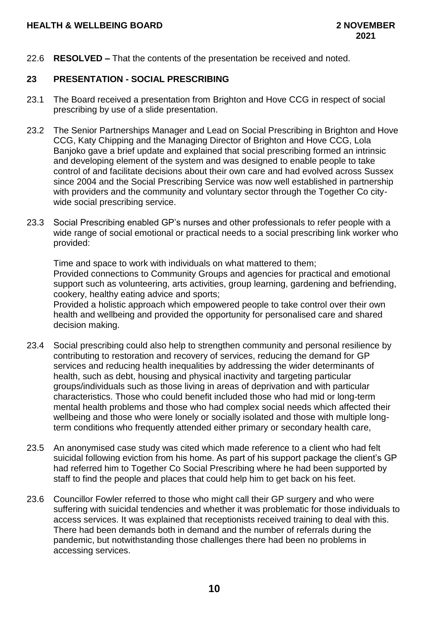22.6 **RESOLVED –** That the contents of the presentation be received and noted.

## **23 PRESENTATION - SOCIAL PRESCRIBING**

- 23.1 The Board received a presentation from Brighton and Hove CCG in respect of social prescribing by use of a slide presentation.
- 23.2 The Senior Partnerships Manager and Lead on Social Prescribing in Brighton and Hove CCG, Katy Chipping and the Managing Director of Brighton and Hove CCG, Lola Banjoko gave a brief update and explained that social prescribing formed an intrinsic and developing element of the system and was designed to enable people to take control of and facilitate decisions about their own care and had evolved across Sussex since 2004 and the Social Prescribing Service was now well established in partnership with providers and the community and voluntary sector through the Together Co citywide social prescribing service.
- 23.3 Social Prescribing enabled GP's nurses and other professionals to refer people with a wide range of social emotional or practical needs to a social prescribing link worker who provided:

Time and space to work with individuals on what mattered to them; Provided connections to Community Groups and agencies for practical and emotional support such as volunteering, arts activities, group learning, gardening and befriending, cookery, healthy eating advice and sports;

Provided a holistic approach which empowered people to take control over their own health and wellbeing and provided the opportunity for personalised care and shared decision making.

- 23.4 Social prescribing could also help to strengthen community and personal resilience by contributing to restoration and recovery of services, reducing the demand for GP services and reducing health inequalities by addressing the wider determinants of health, such as debt, housing and physical inactivity and targeting particular groups/individuals such as those living in areas of deprivation and with particular characteristics. Those who could benefit included those who had mid or long-term mental health problems and those who had complex social needs which affected their wellbeing and those who were lonely or socially isolated and those with multiple longterm conditions who frequently attended either primary or secondary health care,
- 23.5 An anonymised case study was cited which made reference to a client who had felt suicidal following eviction from his home. As part of his support package the client's GP had referred him to Together Co Social Prescribing where he had been supported by staff to find the people and places that could help him to get back on his feet.
- 23.6 Councillor Fowler referred to those who might call their GP surgery and who were suffering with suicidal tendencies and whether it was problematic for those individuals to access services. It was explained that receptionists received training to deal with this. There had been demands both in demand and the number of referrals during the pandemic, but notwithstanding those challenges there had been no problems in accessing services.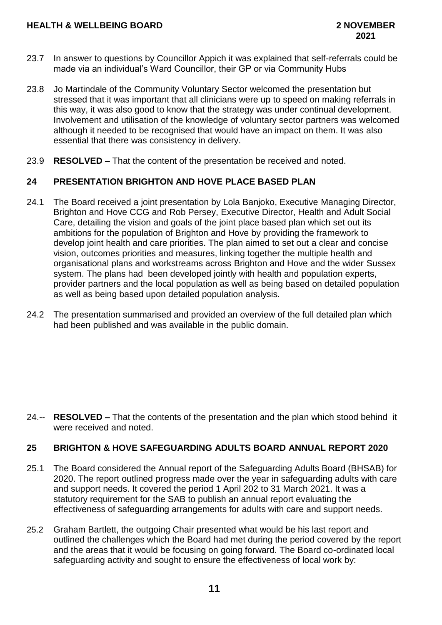- 23.7 In answer to questions by Councillor Appich it was explained that self-referrals could be made via an individual's Ward Councillor, their GP or via Community Hubs
- 23.8 Jo Martindale of the Community Voluntary Sector welcomed the presentation but stressed that it was important that all clinicians were up to speed on making referrals in this way, it was also good to know that the strategy was under continual development. Involvement and utilisation of the knowledge of voluntary sector partners was welcomed although it needed to be recognised that would have an impact on them. It was also essential that there was consistency in delivery.
- 23.9 **RESOLVED –** That the content of the presentation be received and noted.

## **24 PRESENTATION BRIGHTON AND HOVE PLACE BASED PLAN**

- 24.1 The Board received a joint presentation by Lola Banjoko, Executive Managing Director, Brighton and Hove CCG and Rob Persey, Executive Director, Health and Adult Social Care, detailing the vision and goals of the joint place based plan which set out its ambitions for the population of Brighton and Hove by providing the framework to develop joint health and care priorities. The plan aimed to set out a clear and concise vision, outcomes priorities and measures, linking together the multiple health and organisational plans and workstreams across Brighton and Hove and the wider Sussex system. The plans had been developed jointly with health and population experts, provider partners and the local population as well as being based on detailed population as well as being based upon detailed population analysis.
- 24.2 The presentation summarised and provided an overview of the full detailed plan which had been published and was available in the public domain.

24.-- **RESOLVED –** That the contents of the presentation and the plan which stood behind it were received and noted.

## **25 BRIGHTON & HOVE SAFEGUARDING ADULTS BOARD ANNUAL REPORT 2020**

- 25.1 The Board considered the Annual report of the Safeguarding Adults Board (BHSAB) for 2020. The report outlined progress made over the year in safeguarding adults with care and support needs. It covered the period 1 April 202 to 31 March 2021. It was a statutory requirement for the SAB to publish an annual report evaluating the effectiveness of safeguarding arrangements for adults with care and support needs.
- 25.2 Graham Bartlett, the outgoing Chair presented what would be his last report and outlined the challenges which the Board had met during the period covered by the report and the areas that it would be focusing on going forward. The Board co-ordinated local safeguarding activity and sought to ensure the effectiveness of local work by: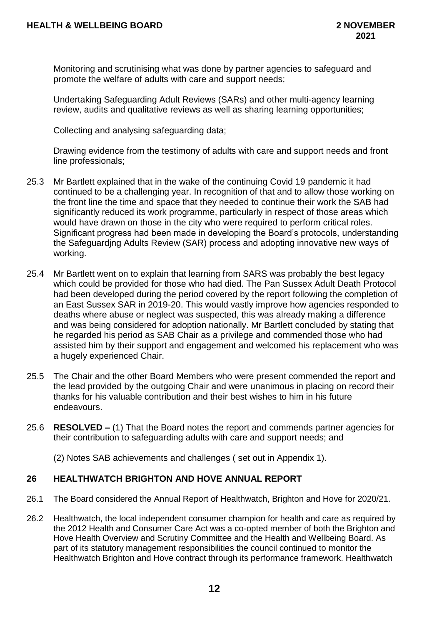Monitoring and scrutinising what was done by partner agencies to safeguard and promote the welfare of adults with care and support needs;

Undertaking Safeguarding Adult Reviews (SARs) and other multi-agency learning review, audits and qualitative reviews as well as sharing learning opportunities;

Collecting and analysing safeguarding data;

Drawing evidence from the testimony of adults with care and support needs and front line professionals;

- 25.3 Mr Bartlett explained that in the wake of the continuing Covid 19 pandemic it had continued to be a challenging year. In recognition of that and to allow those working on the front line the time and space that they needed to continue their work the SAB had significantly reduced its work programme, particularly in respect of those areas which would have drawn on those in the city who were required to perform critical roles. Significant progress had been made in developing the Board's protocols, understanding the Safeguardjng Adults Review (SAR) process and adopting innovative new ways of working.
- 25.4 Mr Bartlett went on to explain that learning from SARS was probably the best legacy which could be provided for those who had died. The Pan Sussex Adult Death Protocol had been developed during the period covered by the report following the completion of an East Sussex SAR in 2019-20. This would vastly improve how agencies responded to deaths where abuse or neglect was suspected, this was already making a difference and was being considered for adoption nationally. Mr Bartlett concluded by stating that he regarded his period as SAB Chair as a privilege and commended those who had assisted him by their support and engagement and welcomed his replacement who was a hugely experienced Chair.
- 25.5 The Chair and the other Board Members who were present commended the report and the lead provided by the outgoing Chair and were unanimous in placing on record their thanks for his valuable contribution and their best wishes to him in his future endeavours.
- 25.6 **RESOLVED –** (1) That the Board notes the report and commends partner agencies for their contribution to safeguarding adults with care and support needs; and

(2) Notes SAB achievements and challenges ( set out in Appendix 1).

# **26 HEALTHWATCH BRIGHTON AND HOVE ANNUAL REPORT**

- 26.1 The Board considered the Annual Report of Healthwatch, Brighton and Hove for 2020/21.
- 26.2 Healthwatch, the local independent consumer champion for health and care as required by the 2012 Health and Consumer Care Act was a co-opted member of both the Brighton and Hove Health Overview and Scrutiny Committee and the Health and Wellbeing Board. As part of its statutory management responsibilities the council continued to monitor the Healthwatch Brighton and Hove contract through its performance framework. Healthwatch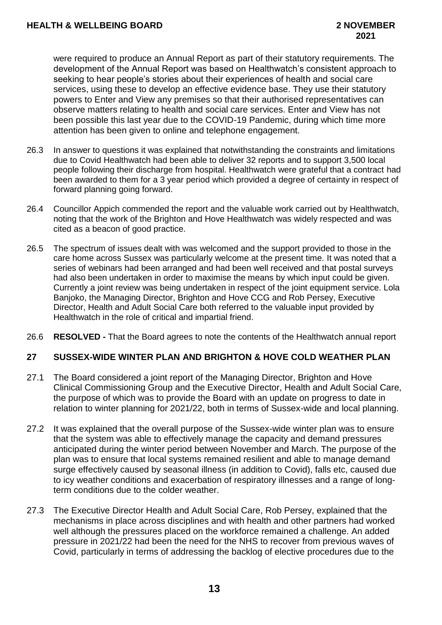were required to produce an Annual Report as part of their statutory requirements. The development of the Annual Report was based on Healthwatch's consistent approach to seeking to hear people's stories about their experiences of health and social care services, using these to develop an effective evidence base. They use their statutory powers to Enter and View any premises so that their authorised representatives can observe matters relating to health and social care services. Enter and View has not been possible this last year due to the COVID-19 Pandemic, during which time more attention has been given to online and telephone engagement.

- 26.3 In answer to questions it was explained that notwithstanding the constraints and limitations due to Covid Healthwatch had been able to deliver 32 reports and to support 3,500 local people following their discharge from hospital. Healthwatch were grateful that a contract had been awarded to them for a 3 year period which provided a degree of certainty in respect of forward planning going forward.
- 26.4 Councillor Appich commended the report and the valuable work carried out by Healthwatch, noting that the work of the Brighton and Hove Healthwatch was widely respected and was cited as a beacon of good practice.
- 26.5 The spectrum of issues dealt with was welcomed and the support provided to those in the care home across Sussex was particularly welcome at the present time. It was noted that a series of webinars had been arranged and had been well received and that postal surveys had also been undertaken in order to maximise the means by which input could be given. Currently a joint review was being undertaken in respect of the joint equipment service. Lola Banjoko, the Managing Director, Brighton and Hove CCG and Rob Persey, Executive Director, Health and Adult Social Care both referred to the valuable input provided by Healthwatch in the role of critical and impartial friend.
- 26.6 **RESOLVED -** That the Board agrees to note the contents of the Healthwatch annual report

## **27 SUSSEX-WIDE WINTER PLAN AND BRIGHTON & HOVE COLD WEATHER PLAN**

- 27.1 The Board considered a joint report of the Managing Director, Brighton and Hove Clinical Commissioning Group and the Executive Director, Health and Adult Social Care, the purpose of which was to provide the Board with an update on progress to date in relation to winter planning for 2021/22, both in terms of Sussex-wide and local planning.
- 27.2 It was explained that the overall purpose of the Sussex-wide winter plan was to ensure that the system was able to effectively manage the capacity and demand pressures anticipated during the winter period between November and March. The purpose of the plan was to ensure that local systems remained resilient and able to manage demand surge effectively caused by seasonal illness (in addition to Covid), falls etc, caused due to icy weather conditions and exacerbation of respiratory illnesses and a range of longterm conditions due to the colder weather.
- 27.3 The Executive Director Health and Adult Social Care, Rob Persey, explained that the mechanisms in place across disciplines and with health and other partners had worked well although the pressures placed on the workforce remained a challenge. An added pressure in 2021/22 had been the need for the NHS to recover from previous waves of Covid, particularly in terms of addressing the backlog of elective procedures due to the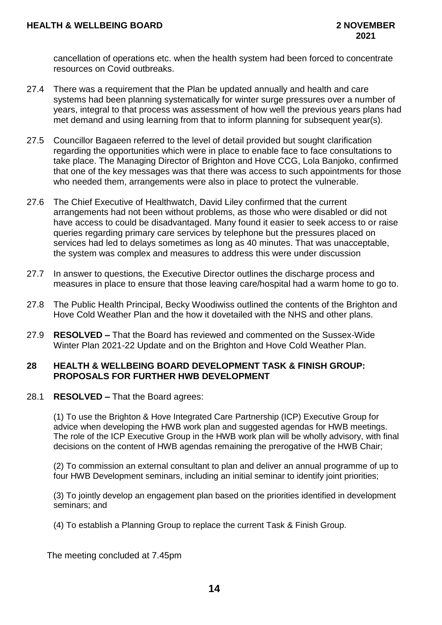cancellation of operations etc. when the health system had been forced to concentrate resources on Covid outbreaks.

- 27.4 There was a requirement that the Plan be updated annually and health and care systems had been planning systematically for winter surge pressures over a number of years, integral to that process was assessment of how well the previous years plans had met demand and using learning from that to inform planning for subsequent year(s).
- 27.5 Councillor Bagaeen referred to the level of detail provided but sought clarification regarding the opportunities which were in place to enable face to face consultations to take place. The Managing Director of Brighton and Hove CCG, Lola Banjoko, confirmed that one of the key messages was that there was access to such appointments for those who needed them, arrangements were also in place to protect the vulnerable.
- 27.6 The Chief Executive of Healthwatch, David Liley confirmed that the current arrangements had not been without problems, as those who were disabled or did not have access to could be disadvantaged. Many found it easier to seek access to or raise queries regarding primary care services by telephone but the pressures placed on services had led to delays sometimes as long as 40 minutes. That was unacceptable, the system was complex and measures to address this were under discussion
- 27.7 In answer to questions, the Executive Director outlines the discharge process and measures in place to ensure that those leaving care/hospital had a warm home to go to.
- 27.8 The Public Health Principal, Becky Woodiwiss outlined the contents of the Brighton and Hove Cold Weather Plan and the how it dovetailed with the NHS and other plans.
- 27.9 **RESOLVED –** That the Board has reviewed and commented on the Sussex-Wide Winter Plan 2021-22 Update and on the Brighton and Hove Cold Weather Plan.

#### **28 HEALTH & WELLBEING BOARD DEVELOPMENT TASK & FINISH GROUP: PROPOSALS FOR FURTHER HWB DEVELOPMENT**

28.1 **RESOLVED –** That the Board agrees:

(1) To use the Brighton & Hove Integrated Care Partnership (ICP) Executive Group for advice when developing the HWB work plan and suggested agendas for HWB meetings. The role of the ICP Executive Group in the HWB work plan will be wholly advisory, with final decisions on the content of HWB agendas remaining the prerogative of the HWB Chair;

(2) To commission an external consultant to plan and deliver an annual programme of up to four HWB Development seminars, including an initial seminar to identify joint priorities;

(3) To jointly develop an engagement plan based on the priorities identified in development seminars; and

(4) To establish a Planning Group to replace the current Task & Finish Group.

The meeting concluded at 7.45pm